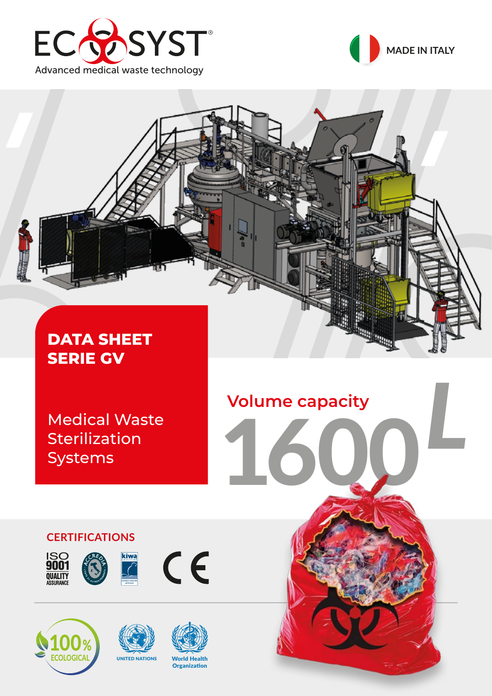





*L* **Volume capacity**

1600

Medical Waste **Sterilization** Systems

# **CERTIFICATIONS**